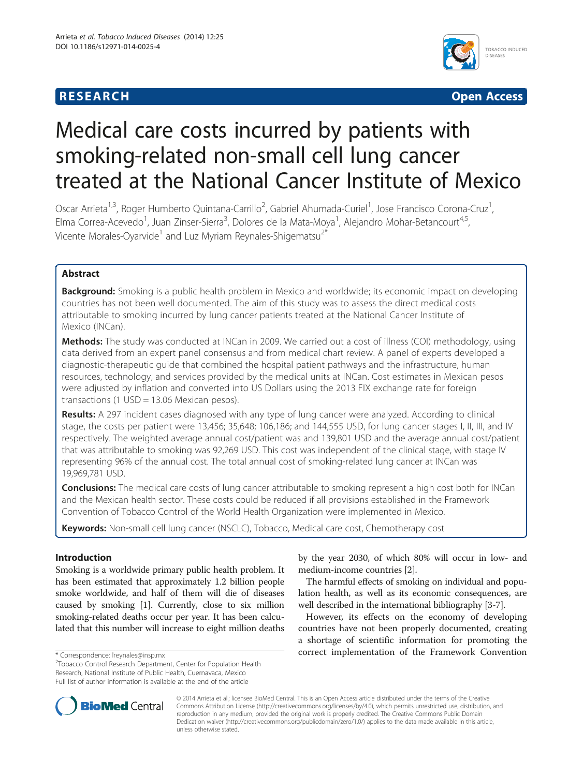# **RESEARCH CHEAR CHEAR CHEAR CHEAR CHEAR CHEAR CHEAR CHEAR CHEAR CHEAR CHEAR CHEAR CHEAR CHEAR CHEAR CHEAR CHEAR**



# Medical care costs incurred by patients with smoking-related non-small cell lung cancer treated at the National Cancer Institute of Mexico

Oscar Arrieta<sup>1,3</sup>, Roger Humberto Quintana-Carrillo<sup>2</sup>, Gabriel Ahumada-Curiel<sup>1</sup>, Jose Francisco Corona-Cruz<sup>1</sup> , Elma Correa-Acevedo<sup>1</sup>, Juan Zinser-Sierra<sup>3</sup>, Dolores de la Mata-Moya<sup>1</sup>, Alejandro Mohar-Betancourt<sup>4,5</sup>, Vicente Morales-Oyarvide<sup>1</sup> and Luz Myriam Reynales-Shigematsu<sup>2\*</sup>

# Abstract

**Background:** Smoking is a public health problem in Mexico and worldwide; its economic impact on developing countries has not been well documented. The aim of this study was to assess the direct medical costs attributable to smoking incurred by lung cancer patients treated at the National Cancer Institute of Mexico (INCan).

**Methods:** The study was conducted at INCan in 2009. We carried out a cost of illness (COI) methodology, using data derived from an expert panel consensus and from medical chart review. A panel of experts developed a diagnostic-therapeutic guide that combined the hospital patient pathways and the infrastructure, human resources, technology, and services provided by the medical units at INCan. Cost estimates in Mexican pesos were adjusted by inflation and converted into US Dollars using the 2013 FIX exchange rate for foreign transactions (1  $USD = 13.06$  Mexican pesos).

Results: A 297 incident cases diagnosed with any type of lung cancer were analyzed. According to clinical stage, the costs per patient were 13,456; 35,648; 106,186; and 144,555 USD, for lung cancer stages I, II, III, and IV respectively. The weighted average annual cost/patient was and 139,801 USD and the average annual cost/patient that was attributable to smoking was 92,269 USD. This cost was independent of the clinical stage, with stage IV representing 96% of the annual cost. The total annual cost of smoking-related lung cancer at INCan was 19,969,781 USD.

**Conclusions:** The medical care costs of lung cancer attributable to smoking represent a high cost both for INCan and the Mexican health sector. These costs could be reduced if all provisions established in the Framework Convention of Tobacco Control of the World Health Organization were implemented in Mexico.

Keywords: Non-small cell lung cancer (NSCLC), Tobacco, Medical care cost, Chemotherapy cost

# Introduction

Smoking is a worldwide primary public health problem. It has been estimated that approximately 1.2 billion people smoke worldwide, and half of them will die of diseases caused by smoking [\[1](#page-6-0)]. Currently, close to six million smoking-related deaths occur per year. It has been calculated that this number will increase to eight million deaths



The harmful effects of smoking on individual and population health, as well as its economic consequences, are well described in the international bibliography [\[3](#page-6-0)-[7](#page-6-0)].

However, its effects on the economy of developing countries have not been properly documented, creating a shortage of scientific information for promoting the \*Correspondence: Ireynales@insp.mx **2006** correct implementation of the Framework Convention



© 2014 Arrieta et al.; licensee BioMed Central. This is an Open Access article distributed under the terms of the Creative Commons Attribution License [\(http://creativecommons.org/licenses/by/4.0\)](http://creativecommons.org/licenses/by/4.0), which permits unrestricted use, distribution, and reproduction in any medium, provided the original work is properly credited. The Creative Commons Public Domain Dedication waiver [\(http://creativecommons.org/publicdomain/zero/1.0/](http://creativecommons.org/publicdomain/zero/1.0/)) applies to the data made available in this article, unless otherwise stated.

<sup>&</sup>lt;sup>2</sup>Tobacco Control Research Department, Center for Population Health Research, National Institute of Public Health, Cuernavaca, Mexico Full list of author information is available at the end of the article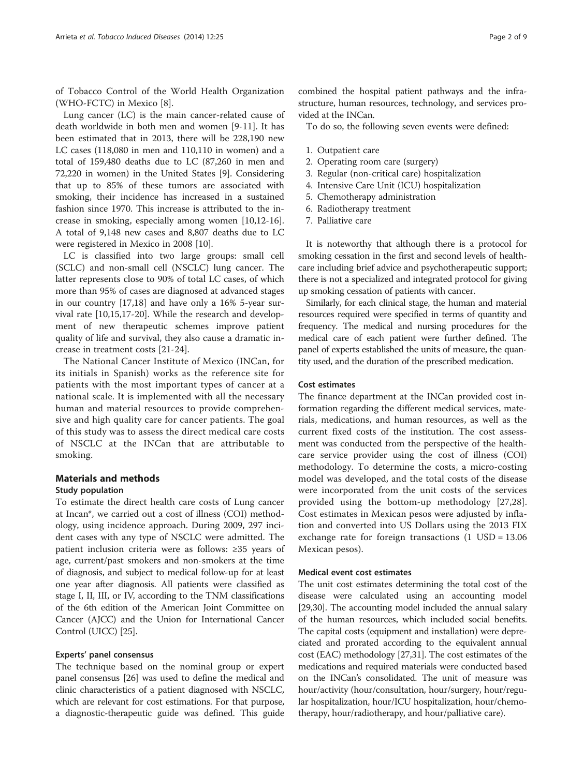of Tobacco Control of the World Health Organization (WHO-FCTC) in Mexico [\[8](#page-6-0)].

Lung cancer (LC) is the main cancer-related cause of death worldwide in both men and women [[9-11](#page-7-0)]. It has been estimated that in 2013, there will be 228,190 new LC cases (118,080 in men and 110,110 in women) and a total of 159,480 deaths due to LC (87,260 in men and 72,220 in women) in the United States [[9\]](#page-7-0). Considering that up to 85% of these tumors are associated with smoking, their incidence has increased in a sustained fashion since 1970. This increase is attributed to the increase in smoking, especially among women [\[10,12-16](#page-7-0)]. A total of 9,148 new cases and 8,807 deaths due to LC were registered in Mexico in 2008 [[10\]](#page-7-0).

LC is classified into two large groups: small cell (SCLC) and non-small cell (NSCLC) lung cancer. The latter represents close to 90% of total LC cases, of which more than 95% of cases are diagnosed at advanced stages in our country [[17,18\]](#page-7-0) and have only a 16% 5-year survival rate [\[10,15,17](#page-7-0)-[20\]](#page-7-0). While the research and development of new therapeutic schemes improve patient quality of life and survival, they also cause a dramatic increase in treatment costs [\[21-24](#page-7-0)].

The National Cancer Institute of Mexico (INCan, for its initials in Spanish) works as the reference site for patients with the most important types of cancer at a national scale. It is implemented with all the necessary human and material resources to provide comprehensive and high quality care for cancer patients. The goal of this study was to assess the direct medical care costs of NSCLC at the INCan that are attributable to smoking.

# Materials and methods

# Study population

To estimate the direct health care costs of Lung cancer at Incan\*, we carried out a cost of illness (COI) methodology, using incidence approach. During 2009, 297 incident cases with any type of NSCLC were admitted. The patient inclusion criteria were as follows: ≥35 years of age, current/past smokers and non-smokers at the time of diagnosis, and subject to medical follow-up for at least one year after diagnosis. All patients were classified as stage I, II, III, or IV, according to the TNM classifications of the 6th edition of the American Joint Committee on Cancer (AJCC) and the Union for International Cancer Control (UICC) [[25](#page-7-0)].

# Experts' panel consensus

The technique based on the nominal group or expert panel consensus [\[26\]](#page-7-0) was used to define the medical and clinic characteristics of a patient diagnosed with NSCLC, which are relevant for cost estimations. For that purpose, a diagnostic-therapeutic guide was defined. This guide

combined the hospital patient pathways and the infrastructure, human resources, technology, and services provided at the INCan.

To do so, the following seven events were defined:

- 1. Outpatient care
- 2. Operating room care (surgery)
- 3. Regular (non-critical care) hospitalization
- 4. Intensive Care Unit (ICU) hospitalization
- 5. Chemotherapy administration
- 6. Radiotherapy treatment
- 7. Palliative care

It is noteworthy that although there is a protocol for smoking cessation in the first and second levels of healthcare including brief advice and psychotherapeutic support; there is not a specialized and integrated protocol for giving up smoking cessation of patients with cancer.

Similarly, for each clinical stage, the human and material resources required were specified in terms of quantity and frequency. The medical and nursing procedures for the medical care of each patient were further defined. The panel of experts established the units of measure, the quantity used, and the duration of the prescribed medication.

## Cost estimates

The finance department at the INCan provided cost information regarding the different medical services, materials, medications, and human resources, as well as the current fixed costs of the institution. The cost assessment was conducted from the perspective of the healthcare service provider using the cost of illness (COI) methodology. To determine the costs, a micro-costing model was developed, and the total costs of the disease were incorporated from the unit costs of the services provided using the bottom-up methodology [[27,28](#page-7-0)]. Cost estimates in Mexican pesos were adjusted by inflation and converted into US Dollars using the 2013 FIX exchange rate for foreign transactions (1 USD = 13.06 Mexican pesos).

#### Medical event cost estimates

The unit cost estimates determining the total cost of the disease were calculated using an accounting model [[29,30](#page-7-0)]. The accounting model included the annual salary of the human resources, which included social benefits. The capital costs (equipment and installation) were depreciated and prorated according to the equivalent annual cost (EAC) methodology [\[27,31\]](#page-7-0). The cost estimates of the medications and required materials were conducted based on the INCan's consolidated. The unit of measure was hour/activity (hour/consultation, hour/surgery, hour/regular hospitalization, hour/ICU hospitalization, hour/chemotherapy, hour/radiotherapy, and hour/palliative care).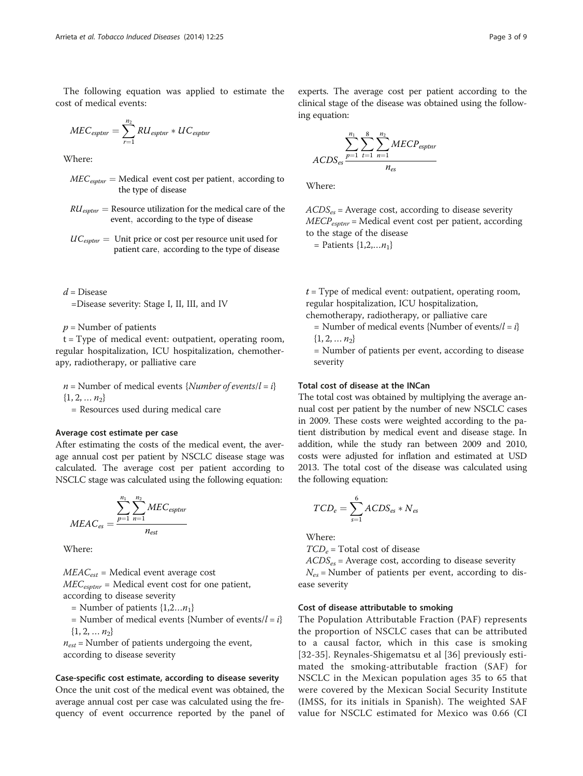The following equation was applied to estimate the cost of medical events:

$$
MEC_{\text{esptr}} = \sum_{r=1}^{n_2} RU_{\text{esptr}} * UC_{\text{esptr}}
$$

Where:

- $MEC_{esphnr}$  = Medical event cost per patient, according to the type of disease
- $RU_{estnr}$  = Resource utilization for the medical care of the event; according to the type of disease
- $UC_{\text{esptnr}} =$  Unit price or cost per resource unit used for patient care; according to the type of disease

 $d =$ Disease

=Disease severity: Stage I, II, III, and IV

 $p =$ Number of patients

t = Type of medical event: outpatient, operating room, regular hospitalization, ICU hospitalization, chemotherapy, radiotherapy, or palliative care

 $n =$  Number of medical events {*Number of events*/ $l = i$ }  $\{1, 2, \ldots n_2\}$ 

= Resources used during medical care

#### Average cost estimate per case

After estimating the costs of the medical event, the average annual cost per patient by NSCLC disease stage was calculated. The average cost per patient according to NSCLC stage was calculated using the following equation:

$$
MEAC_{es} = \frac{\sum_{p=1}^{n_1} \sum_{n=1}^{n_2} MEC_{est}}{n_{est}}
$$

Where:

 $MEAC_{est}$  = Medical event average cost  $MEC_{\text{esptr}}$  = Medical event cost for one patient, according to disease severity

= Number of patients  $\{1,2...n_1\}$ 

= Number of medical events {Number of events/ $l = i$ }  $\{1, 2, \ldots n_2\}$ 

 $n_{est}$  = Number of patients undergoing the event, according to disease severity

# Case-specific cost estimate, according to disease severity

Once the unit cost of the medical event was obtained, the average annual cost per case was calculated using the frequency of event occurrence reported by the panel of experts. The average cost per patient according to the clinical stage of the disease was obtained using the following equation:

$$
ACDS_{es} \frac{\sum_{p=1}^{n_1} \sum_{t=1}^{8} \sum_{m=1}^{n_2} MECP_{estm}}{n_{es}}
$$

Where:

 $ACDS_{es}$  = Average cost, according to disease severity  $MECP_{\text{esptnr}}$  = Medical event cost per patient, according to the stage of the disease

 $=$  Patients {1,2,... $n_1$ }

 $t =$  Type of medical event: outpatient, operating room, regular hospitalization, ICU hospitalization,

chemotherapy, radiotherapy, or palliative care

= Number of medical events {Number of events/ $l = i$ }  $\{1, 2, \ldots n_2\}$ 

= Number of patients per event, according to disease severity

# Total cost of disease at the INCan

The total cost was obtained by multiplying the average annual cost per patient by the number of new NSCLC cases in 2009. These costs were weighted according to the patient distribution by medical event and disease stage. In addition, while the study ran between 2009 and 2010, costs were adjusted for inflation and estimated at USD 2013. The total cost of the disease was calculated using the following equation:

$$
TCD_e = \sum_{s=1}^{6} ACDS_{es} * N_{es}
$$

Where:

 $TCD_e$  = Total cost of disease

 $ACDS_{es}$  = Average cost, according to disease severity

 $N_{es}$  = Number of patients per event, according to disease severity

# Cost of disease attributable to smoking

The Population Attributable Fraction (PAF) represents the proportion of NSCLC cases that can be attributed to a causal factor, which in this case is smoking [[32](#page-7-0)-[35](#page-7-0)]. Reynales-Shigematsu et al [\[36\]](#page-7-0) previously estimated the smoking-attributable fraction (SAF) for NSCLC in the Mexican population ages 35 to 65 that were covered by the Mexican Social Security Institute (IMSS, for its initials in Spanish). The weighted SAF value for NSCLC estimated for Mexico was 0.66 (CI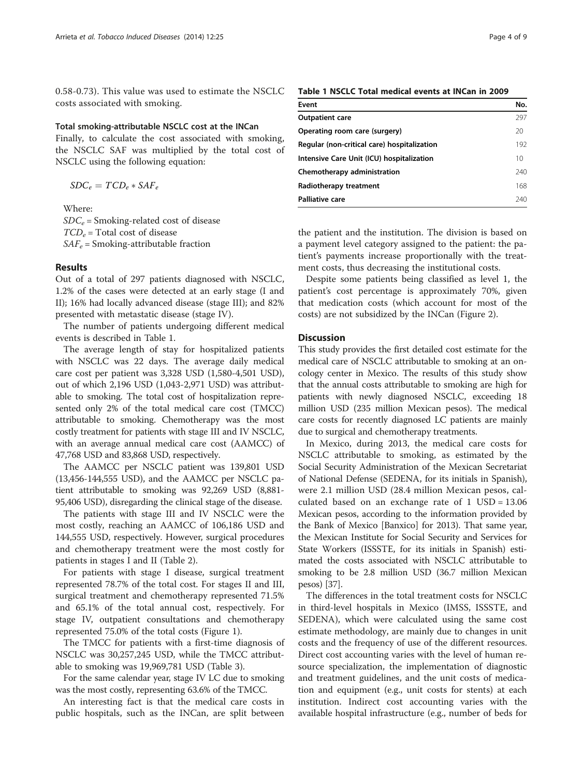0.58-0.73). This value was used to estimate the NSCLC costs associated with smoking.

### Total smoking-attributable NSCLC cost at the INCan

Finally, to calculate the cost associated with smoking, the NSCLC SAF was multiplied by the total cost of NSCLC using the following equation:

 $SDC_e = TCD_e * SAF_e$ 

Where:

 $SDC_e$  = Smoking-related cost of disease  $TCD<sub>e</sub>$  = Total cost of disease  $SAF_e =$  Smoking-attributable fraction

#### Results

Out of a total of 297 patients diagnosed with NSCLC, 1.2% of the cases were detected at an early stage (I and II); 16% had locally advanced disease (stage III); and 82% presented with metastatic disease (stage IV).

The number of patients undergoing different medical events is described in Table 1.

The average length of stay for hospitalized patients with NSCLC was 22 days. The average daily medical care cost per patient was 3,328 USD (1,580-4,501 USD), out of which 2,196 USD (1,043-2,971 USD) was attributable to smoking. The total cost of hospitalization represented only 2% of the total medical care cost (TMCC) attributable to smoking. Chemotherapy was the most costly treatment for patients with stage III and IV NSCLC, with an average annual medical care cost (AAMCC) of 47,768 USD and 83,868 USD, respectively.

The AAMCC per NSCLC patient was 139,801 USD (13,456-144,555 USD), and the AAMCC per NSCLC patient attributable to smoking was 92,269 USD (8,881- 95,406 USD), disregarding the clinical stage of the disease.

The patients with stage III and IV NSCLC were the most costly, reaching an AAMCC of 106,186 USD and 144,555 USD, respectively. However, surgical procedures and chemotherapy treatment were the most costly for patients in stages I and II (Table [2\)](#page-4-0).

For patients with stage I disease, surgical treatment represented 78.7% of the total cost. For stages II and III, surgical treatment and chemotherapy represented 71.5% and 65.1% of the total annual cost, respectively. For stage IV, outpatient consultations and chemotherapy represented 75.0% of the total costs (Figure [1](#page-4-0)).

The TMCC for patients with a first-time diagnosis of NSCLC was 30,257,245 USD, while the TMCC attributable to smoking was 19,969,781 USD (Table [3\)](#page-5-0).

For the same calendar year, stage IV LC due to smoking was the most costly, representing 63.6% of the TMCC.

An interesting fact is that the medical care costs in public hospitals, such as the INCan, are split between

Table 1 NSCLC Total medical events at INCan in 2009

| Event                                       | No.     |
|---------------------------------------------|---------|
| <b>Outpatient care</b>                      | 297     |
| Operating room care (surgery)               | 20      |
| Regular (non-critical care) hospitalization | 192     |
| Intensive Care Unit (ICU) hospitalization   | $10 \,$ |
| Chemotherapy administration                 | 240     |
| Radiotherapy treatment                      | 168     |
| <b>Palliative care</b>                      | 240     |

the patient and the institution. The division is based on a payment level category assigned to the patient: the patient's payments increase proportionally with the treatment costs, thus decreasing the institutional costs.

Despite some patients being classified as level 1, the patient's cost percentage is approximately 70%, given that medication costs (which account for most of the costs) are not subsidized by the INCan (Figure [2\)](#page-5-0).

#### **Discussion**

This study provides the first detailed cost estimate for the medical care of NSCLC attributable to smoking at an oncology center in Mexico. The results of this study show that the annual costs attributable to smoking are high for patients with newly diagnosed NSCLC, exceeding 18 million USD (235 million Mexican pesos). The medical care costs for recently diagnosed LC patients are mainly due to surgical and chemotherapy treatments.

In Mexico, during 2013, the medical care costs for NSCLC attributable to smoking, as estimated by the Social Security Administration of the Mexican Secretariat of National Defense (SEDENA, for its initials in Spanish), were 2.1 million USD (28.4 million Mexican pesos, calculated based on an exchange rate of 1 USD = 13.06 Mexican pesos, according to the information provided by the Bank of Mexico [Banxico] for 2013). That same year, the Mexican Institute for Social Security and Services for State Workers (ISSSTE, for its initials in Spanish) estimated the costs associated with NSCLC attributable to smoking to be 2.8 million USD (36.7 million Mexican pesos) [\[37\]](#page-7-0).

The differences in the total treatment costs for NSCLC in third-level hospitals in Mexico (IMSS, ISSSTE, and SEDENA), which were calculated using the same cost estimate methodology, are mainly due to changes in unit costs and the frequency of use of the different resources. Direct cost accounting varies with the level of human resource specialization, the implementation of diagnostic and treatment guidelines, and the unit costs of medication and equipment (e.g., unit costs for stents) at each institution. Indirect cost accounting varies with the available hospital infrastructure (e.g., number of beds for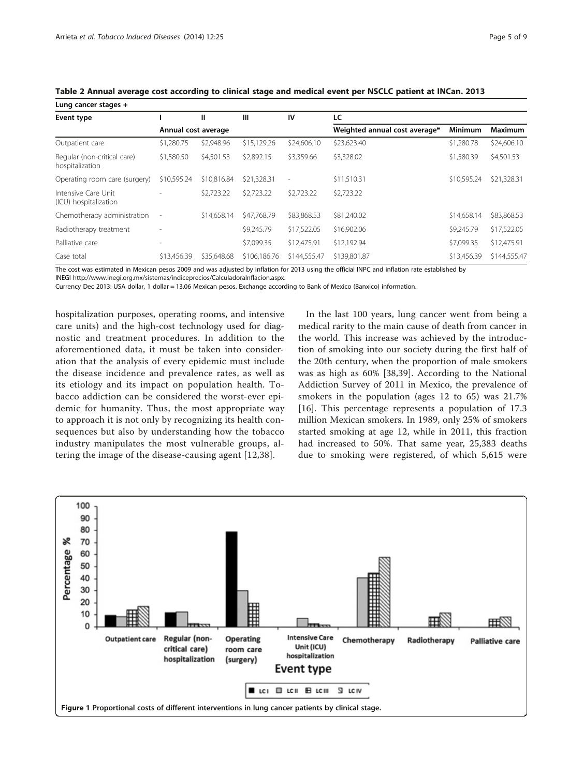Lung cancer stages +

| - בשווש כשווככו אנטשכא<br>Event type           |                          | $\mathbf{I}$ | Ш            | IV                       | LC                            |                |                |
|------------------------------------------------|--------------------------|--------------|--------------|--------------------------|-------------------------------|----------------|----------------|
|                                                | Annual cost average      |              |              |                          | Weighted annual cost average* | <b>Minimum</b> | <b>Maximum</b> |
| Outpatient care                                | \$1,280.75               | \$2,948.96   | \$15,129.26  | \$24,606.10              | \$23,623.40                   | \$1,280.78     | \$24,606.10    |
| Regular (non-critical care)<br>hospitalization | \$1,580.50               | \$4,501.53   | \$2.892.15   | \$3,359.66               | \$3,328.02                    | \$1,580.39     | \$4,501.53     |
| Operating room care (surgery)                  | \$10,595.24              | \$10.816.84  | \$21,328.31  | $\overline{\phantom{a}}$ | \$11,510.31                   | \$10.595.24    | \$21,328.31    |
| Intensive Care Unit<br>(ICU) hospitalization   |                          | \$2,723.22   | \$2,723.22   | \$2,723.22               | \$2,723.22                    |                |                |
| Chemotherapy administration                    | $\overline{\phantom{a}}$ | \$14,658.14  | \$47,768.79  | \$83,868.53              | \$81,240.02                   | \$14,658.14    | \$83,868.53    |
| Radiotherapy treatment                         | $\sim$                   |              | \$9,245.79   | \$17,522.05              | \$16,902.06                   | \$9,245.79     | \$17,522.05    |
| Palliative care                                | $\sim$                   |              | \$7,099.35   | \$12,475.91              | \$12,192.94                   | \$7.099.35     | \$12,475.91    |
| Case total                                     | \$13,456.39              | \$35,648,68  | \$106.186.76 | \$144,555.47             | \$139,801.87                  | \$13,456.39    | \$144,555.47   |

<span id="page-4-0"></span>Table 2 Annual average cost according to clinical stage and medical event per NSCLC patient at INCan. 2013

The cost was estimated in Mexican pesos 2009 and was adjusted by inflation for 2013 using the official INPC and inflation rate established by

INEGI <http://www.inegi.org.mx/sistemas/indiceprecios/CalculadoraInflacion.aspx>.

Currency Dec 2013: USA dollar, 1 dollar = 13.06 Mexican pesos. Exchange according to Bank of Mexico (Banxico) information.

hospitalization purposes, operating rooms, and intensive care units) and the high-cost technology used for diagnostic and treatment procedures. In addition to the aforementioned data, it must be taken into consideration that the analysis of every epidemic must include the disease incidence and prevalence rates, as well as its etiology and its impact on population health. Tobacco addiction can be considered the worst-ever epidemic for humanity. Thus, the most appropriate way to approach it is not only by recognizing its health consequences but also by understanding how the tobacco industry manipulates the most vulnerable groups, altering the image of the disease-causing agent [[12,38](#page-7-0)].

In the last 100 years, lung cancer went from being a medical rarity to the main cause of death from cancer in the world. This increase was achieved by the introduction of smoking into our society during the first half of the 20th century, when the proportion of male smokers was as high as 60% [[38,39](#page-7-0)]. According to the National Addiction Survey of 2011 in Mexico, the prevalence of smokers in the population (ages 12 to 65) was 21.7% [[16](#page-7-0)]. This percentage represents a population of 17.3 million Mexican smokers. In 1989, only 25% of smokers started smoking at age 12, while in 2011, this fraction had increased to 50%. That same year, 25,383 deaths due to smoking were registered, of which 5,615 were

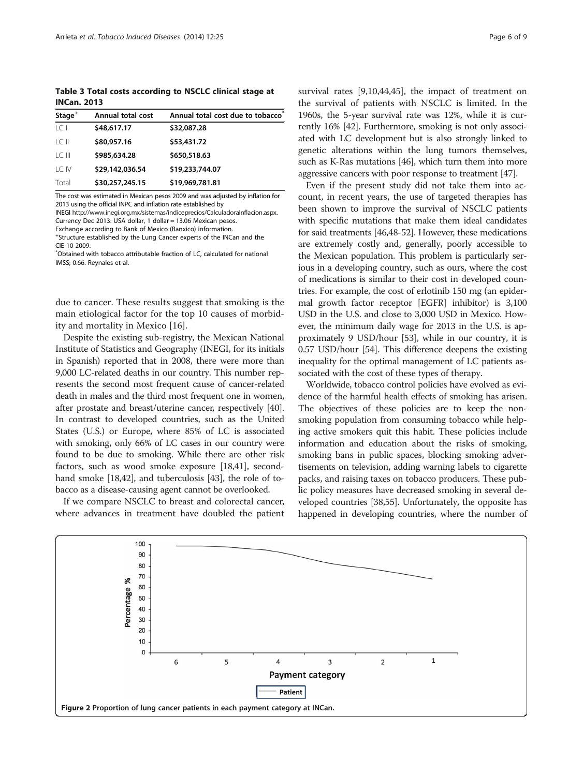<span id="page-5-0"></span>Table 3 Total costs according to NSCLC clinical stage at INCan. 2013

| $Stage+$          | Annual total cost | Annual total cost due to tobacco |
|-------------------|-------------------|----------------------------------|
| LC I              | \$48,617.17       | \$32,087.28                      |
| $\perp$ C $\perp$ | \$80,957.16       | \$53,431.72                      |
| $\perp$ C III     | \$985,634.28      | \$650,518.63                     |
| <b>ICIV</b>       | \$29,142,036.54   | \$19,233,744.07                  |
| Total             | \$30,257,245.15   | \$19,969,781.81                  |

The cost was estimated in Mexican pesos 2009 and was adjusted by inflation for 2013 using the official INPC and inflation rate established by INEGI [http://www.inegi.org.mx/sistemas/indiceprecios/CalculadoraInflacion.aspx.](http://www.inegi.org.mx/sistemas/indiceprecios/CalculadoraInflacion.aspx)

Currency Dec 2013: USA dollar, 1 dollar = 13.06 Mexican pesos. Exchange according to Bank of Mexico (Banxico) information.

+ Structure established by the Lung Cancer experts of the INCan and the CIE-10 2009.

\* Obtained with tobacco attributable fraction of LC, calculated for national IMSS; 0.66. Reynales et al.

due to cancer. These results suggest that smoking is the main etiological factor for the top 10 causes of morbidity and mortality in Mexico [\[16](#page-7-0)].

Despite the existing sub-registry, the Mexican National Institute of Statistics and Geography (INEGI, for its initials in Spanish) reported that in 2008, there were more than 9,000 LC-related deaths in our country. This number represents the second most frequent cause of cancer-related death in males and the third most frequent one in women, after prostate and breast/uterine cancer, respectively [[40](#page-7-0)]. In contrast to developed countries, such as the United States (U.S.) or Europe, where 85% of LC is associated with smoking, only 66% of LC cases in our country were found to be due to smoking. While there are other risk factors, such as wood smoke exposure [\[18,41](#page-7-0)], secondhand smoke [\[18,42\]](#page-7-0), and tuberculosis [[43](#page-7-0)], the role of tobacco as a disease-causing agent cannot be overlooked.

If we compare NSCLC to breast and colorectal cancer, where advances in treatment have doubled the patient

survival rates [[9,10,44,45](#page-7-0)], the impact of treatment on the survival of patients with NSCLC is limited. In the 1960s, the 5-year survival rate was 12%, while it is currently 16% [[42](#page-7-0)]. Furthermore, smoking is not only associated with LC development but is also strongly linked to genetic alterations within the lung tumors themselves, such as K-Ras mutations [\[46\]](#page-7-0), which turn them into more aggressive cancers with poor response to treatment [\[47](#page-7-0)].

Even if the present study did not take them into account, in recent years, the use of targeted therapies has been shown to improve the survival of NSCLC patients with specific mutations that make them ideal candidates for said treatments [\[46,48-52\]](#page-7-0). However, these medications are extremely costly and, generally, poorly accessible to the Mexican population. This problem is particularly serious in a developing country, such as ours, where the cost of medications is similar to their cost in developed countries. For example, the cost of erlotinib 150 mg (an epidermal growth factor receptor [EGFR] inhibitor) is 3,100 USD in the U.S. and close to 3,000 USD in Mexico. However, the minimum daily wage for 2013 in the U.S. is approximately 9 USD/hour [\[53\]](#page-7-0), while in our country, it is 0.57 USD/hour [\[54\]](#page-7-0). This difference deepens the existing inequality for the optimal management of LC patients associated with the cost of these types of therapy.

Worldwide, tobacco control policies have evolved as evidence of the harmful health effects of smoking has arisen. The objectives of these policies are to keep the nonsmoking population from consuming tobacco while helping active smokers quit this habit. These policies include information and education about the risks of smoking, smoking bans in public spaces, blocking smoking advertisements on television, adding warning labels to cigarette packs, and raising taxes on tobacco producers. These public policy measures have decreased smoking in several developed countries [[38](#page-7-0),[55](#page-8-0)]. Unfortunately, the opposite has happened in developing countries, where the number of

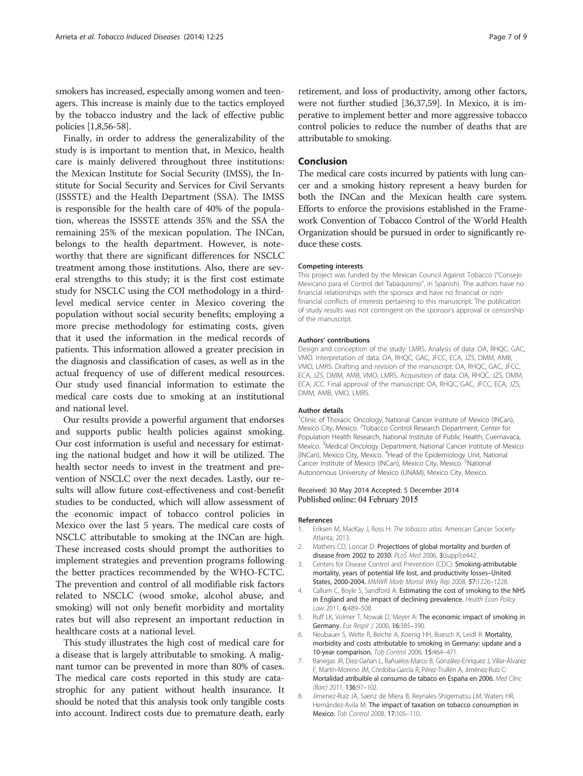<span id="page-6-0"></span>smokers has increased, especially among women and teenagers. This increase is mainly due to the tactics employed by the tobacco industry and the lack of effective public policies [1,8[,56-58\]](#page-8-0).

Finally, in order to address the generalizability of the study is is important to mention that, in Mexico, health care is mainly delivered throughout three institutions: the Mexican Institute for Social Security (IMSS), the Institute for Social Security and Services for Civil Servants (ISSSTE) and the Health Department (SSA). The IMSS is responsible for the health care of 40% of the population, whereas the ISSSTE attends 35% and the SSA the remaining 25% of the mexican population. The INCan, belongs to the health department. However, is noteworthy that there are significant differences for NSCLC treatment among those institutions. Also, there are several strengths to this study; it is the first cost estimate study for NSCLC using the COI methodology in a thirdlevel medical service center in Mexico covering the population without social security benefits; employing a more precise methodology for estimating costs, given that it used the information in the medical records of patients. This information allowed a greater precision in the diagnosis and classification of cases, as well as in the actual frequency of use of different medical resources. Our study used financial information to estimate the medical care costs due to smoking at an institutional and national level.

Our results provide a powerful argument that endorses and supports public health policies against smoking. Our cost information is useful and necessary for estimating the national budget and how it will be utilized. The health sector needs to invest in the treatment and prevention of NSCLC over the next decades. Lastly, our results will allow future cost-effectiveness and cost-benefit studies to be conducted, which will allow assessment of the economic impact of tobacco control policies in Mexico over the last 5 years. The medical care costs of NSCLC attributable to smoking at the INCan are high. These increased costs should prompt the authorities to implement strategies and prevention programs following the better practices recommended by the WHO-FCTC. The prevention and control of all modifiable risk factors related to NSCLC (wood smoke, alcohol abuse, and smoking) will not only benefit morbidity and mortality rates but will also represent an important reduction in healthcare costs at a national level.

This study illustrates the high cost of medical care for a disease that is largely attributable to smoking. A malignant tumor can be prevented in more than 80% of cases. The medical care costs reported in this study are catastrophic for any patient without health insurance. It should be noted that this analysis took only tangible costs into account. Indirect costs due to premature death, early

#### Conclusion

The medical care costs incurred by patients with lung cancer and a smoking history represent a heavy burden for both the INCan and the Mexican health care system. Efforts to enforce the provisions established in the Framework Convention of Tobacco Control of the World Health Organization should be pursued in order to significantly reduce these costs.

#### Competing interests

This project was funded by the Mexican Council Against Tobacco ("Consejo Mexicano para el Control del Tabaquismo", in Spanish). The authors have no financial relationships with the sponsor and have no financial or nonfinancial conflicts of interests pertaining to this manuscript. The publication of study results was not contingent on the sponsor's approval or censorship of the manuscript.

#### Authors' contributions

Design and conception of the study: LMRS. Analysis of data: OA, RHQC, GAC, VMO. Interpretation of data: OA, RHQC, GAC, JFCC, ECA, JZS, DMM, AMB, VMO, LMRS. Drafting and revision of the manuscript: OA, RHQC, GAC, JFCC, ECA, JZS, DMM, AMB, VMO, LMRS. Acquisition of data: OA, RHQC, JZS, DMM, ECA, JCC. Final approval of the manuscript: OA, RHQC, GAC, JFCC, ECA, JZS, DMM, AMB, VMO, LMRS.

#### Author details

<sup>1</sup> Clinic of Thoracic Oncology, National Cancer Institute of Mexico (INCan) Mexico City, Mexico. <sup>2</sup>Tobacco Control Research Department, Center for Population Health Research, National Institute of Public Health, Cuernavaca, Mexico.<sup>3</sup> Medical Oncology Department, National Cancer Institute of Mexico (INCan), Mexico City, Mexico. <sup>4</sup> Head of the Epidemiology Unit, National Cancer Institute of Mexico (INCan), Mexico City, Mexico. <sup>5</sup>National Autonomous University of Mexico (UNAM), Mexico City, Mexico.

#### Received: 30 May 2014 Accepted: 5 December 2014 Published online: 04 February 2015

#### References

- 1. Eriksen M, MacKay J, Ross H: The tobacco atlas. American Cancer Society: Atlanta; 2013.
- 2. Mathers CD, Loncar D: Projections of global mortality and burden of disease from 2002 to 2030. PLoS Med 2006, 3(suppl):e442.
- 3. Centers for Disease Control and Prevention (CDC): Smoking-attributable mortality, years of potential life lost, and productivity losses–United States, 2000-2004. MMWR Morb Mortal Wkly Rep 2008, 57:1226–1228.
- 4. Callum C, Boyle S, Sandford A: Estimating the cost of smoking to the NHS in England and the impact of declining prevalence. Health Econ Policy Law 2011, 6:489–508.
- 5. Ruff LK, Volmer T, Nowak D, Meyer A: The economic impact of smoking in Germany. Eur Respir J 2000, 16:385–390.
- Neubauer S, Welte R, Beiche A, Koenig HH, Buesch K, Leidl R: Mortality, morbidity and costs attributable to smoking in Germany: update and a 10-year comparison. Tob Control 2006, 15:464–471.
- 7. Banegas JR, Diez-Gañan L, Bañuelos-Marco B, González-Enríquez J, Villar-Álvarez F, Martín-Moreno JM, Córdoba-García R, Pérez-Trullén A, Jiménez-Ruiz C: Mortalidad atribuible al consumo de tabaco en España en 2006. Med Clinc (Barc) 2011, 136:97–102.
- 8. Jimenez-Ruiz JA, Saenz de Miera B, Reynales-Shigematsu LM, Waters HR, Hernández-Avila M: The impact of taxation on tobacco consumption in Mexico. Tob Control 2008, 17:105–110.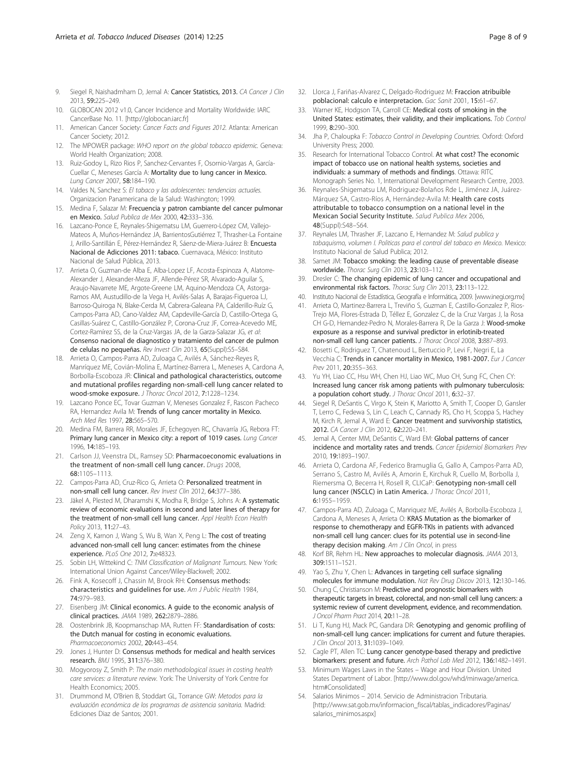- <span id="page-7-0"></span>9. Siegel R, Naishadmham D, Jemal A: Cancer Statistics, 2013. CA Cancer J Clin 2013, 59:225–249.
- 10. GLOBOCAN 2012 v1.0, Cancer Incidence and Mortality Worldwide: IARC CancerBase No. 11. [[http://globocan.iarc.fr\]](http://globocan.iarc.fr)
- 11. American Cancer Society: Cancer Facts and Figures 2012. Atlanta: American Cancer Society; 2012.
- 12. The MPOWER package: WHO report on the global tobacco epidemic. Geneva: World Health Organization; 2008.
- 13. Ruiz-Godoy L, Rizo Rios P, Sanchez-Cervantes F, Osornio-Vargas A, García-Cuellar C, Meneses García A: Mortality due to lung cancer in Mexico. Lung Cancer 2007, 58:184–190.
- 14. Valdes N, Sanchez S: El tabaco y las adolescentes: tendencias actuales. Organizacion Panamericana de la Salud: Washington; 1999.
- 15. Medina F, Salazar M: Frecuencia y patron cambiante del cancer pulmonar en Mexico. Salud Publica de Mex 2000, 42:333–336.
- 16. Lazcano-Ponce E, Reynales-Shigematsu LM, Guerrero-López CM, Vallejo-Mateos A, Muños-Hernández JA, BarrientosGutiérrez T, Thrasher-La Fontaine J, Arillo-Santillán E, Pérez-Hernández R, Sáenz-de-Miera-Juárez B: Encuesta Nacional de Adicciones 2011: tabaco. Cuernavaca, México: Instituto Nacional de Salud Pública, 2013.
- 17. Arrieta O, Guzman-de Alba E, Alba-Lopez LF, Acosta-Espinoza A, Alatorre-Alexander J, Alexander-Meza JF, Allende-Pérez SR, Alvarado-Aguilar S, Araujo-Navarrete ME, Argote-Greene LM, Aquino-Mendoza CA, Astorga-Ramos AM, Austudillo-de la Vega H, Avilés-Salas A, Barajas-Figueroa LJ, Barroso-Quiroga N, Blake-Cerda M, Cabrera-Galeana PA, Calderillo-Ruíz G, Campos-Parra AD, Cano-Valdez AM, Capdeville-García D, Castillo-Ortega G, Casillas-Suárez C, Castillo-González P, Corona-Cruz JF, Correa-Acevedo ME, Cortez-Ramírez SS, de la Cruz-Vargas JA, de la Garza-Salazar JG, et al: Consenso nacional de diagnostico y tratamiento del cancer de pulmon de celulas no pequeñas. Rev Invest Clin 2013, 65(Suppl):S5–S84.
- 18. Arrieta O, Campos-Parra AD, Zuloaga C, Avilés A, Sánchez-Reyes R, Manríquez ME, Covián-Molina E, Martínez-Barrera L, Meneses A, Cardona A, Borbolla-Escoboza JR: Clinical and pathological characteristics, outcome and mutational profiles regarding non-small-cell lung cancer related to wood-smoke exposure. J Thorac Oncol 2012, 7:1228–1234.
- 19. Lazcano Ponce EC, Tovar Guzman V, Meneses Gonzalez F, Rascon Pacheco RA, Hernandez Avila M: Trends of lung cancer mortality in Mexico. Arch Med Res 1997, 28:565–570.
- 20. Medina FM, Barrera RR, Morales JF, Echegoyen RC, Chavarría JG, Rebora FT: Primary lung cancer in Mexico city: a report of 1019 cases. Lung Cancer 1996, 14:185–193.
- 21. Carlson JJ, Veenstra DL, Ramsey SD: Pharmacoeconomic evaluations in the treatment of non-small cell lung cancer. Drugs 2008, 68:1105–1113.
- 22. Campos-Parra AD, Cruz-Rico G, Arrieta O: Personalized treatment in non-small cell lung cancer. Rev Invest Clin 2012, 64:377–386.
- 23. Jäkel A, Plested M, Dharamshi K, Modha R, Bridge S, Johns A: A systematic review of economic evaluations in second and later lines of therapy for the treatment of non-small cell lung cancer. Appl Health Econ Health Policy 2013, 11:27–43.
- 24. Zeng X, Karnon J, Wang S, Wu B, Wan X, Peng L: The cost of treating advanced non-small cell lung cancer: estimates from the chinese experience. PLoS One 2012, 7:e48323.
- 25. Sobin LH, Wittekind C: TNM Classification of Malignant Tumours. New York: International Union Against Cancer/Wiley-Blackwell; 2002.
- 26. Fink A, Kosecoff J, Chassin M, Brook RH: Consensus methods: characteristics and guidelines for use. Am J Public Health 1984, 74:979–983.
- 27. Eisenberg JM: Clinical economics. A guide to the economic analysis of clinical practices. JAMA 1989, 262:2879–2886.
- 28. Oostenbrink JB, Koopmanschap MA, Rutten FF: Standardisation of costs: the Dutch manual for costing in economic evaluations. Pharmacoeconomics 2002, 20:443–454.
- 29. Jones J, Hunter D: Consensus methods for medical and health services research. BMJ 1995, 311:376–380.
- 30. Mogyorosy Z, Smith P: The main methodological issues in costing health care services: a literature review. York: The University of York Centre for Health Economics; 2005.
- 31. Drummond M, O'Brien B, Stoddart GL, Torrance GW: Metodos para la evaluación económica de los programas de asistencia sanitaria. Madrid: Ediciones Diaz de Santos; 2001.
- 32. Llorca J, Fariñas-Alvarez C, Delgado-Rodriguez M: Fraccion atribuible poblacional: calculo e interpretacion. Gac Sanit 2001, 15:61–67.
- 33. Warner KE, Hodgson TA, Carroll CE: Medical costs of smoking in the United States: estimates, their validity, and their implications. Tob Control 1999, 8:290–300.
- 34. Jha P, Chaloupka F: Tobacco Control in Developing Countries. Oxford: Oxford University Press; 2000.
- 35. Research for International Tobacco Control. At what cost? The economic impact of tobacco use on national health systems, societies and individuals: a summary of methods and findings. Ottawa: RITC Monograph Series No. 1, International Development Research Centre, 2003.
- 36. Reynales-Shigematsu LM, Rodriguez-Bolaños Rde L, Jiménez JA, Juárez-Márquez SA, Castro-Ríos A, Hernández-Avila M: Health care costs attributable to tobacco consumption on a national level in the Mexican Social Security Institute. Salud Publica Mex 2006, 48(Suppl):S48–S64.
- 37. Reynales LM, Thrasher JF, Lazcano E, Hernandez M: Salud publica y tabaquismo, volumen I. Politicas para el control del tabaco en Mexico. Mexico: Instituto Nacional de Salud Publica; 2012.
- 38. Samet JM: Tobacco smoking: the leading cause of preventable disease worldwide. Thorac Surg Clin 2013, 23:103–112.
- 39. Dresler C: The changing epidemic of lung cancer and occupational and environmental risk factors. Thorac Surg Clin 2013, 23:113–122.
- 40. Instituto Nacional de Estadística, Geografía e Informática, 2009. [[www.inegi.org.mx](http://www.inegi.org.mx)]
- 41. Arrieta O, Martinez-Barrera L, Treviño S, Guzman E, Castillo-Gonzalez P, Rios-Trejo MA, Flores-Estrada D, Téllez E, Gonzalez C, de la Cruz Vargas J, la Rosa CH G-D, Hernandez-Pedro N, Morales-Barrera R, De la Garza J: Wood-smoke exposure as a response and survival predictor in erlotinib-treated non-small cell lung cancer patients. J Thorac Oncol 2008, 3:887–893.
- 42. Bosetti C, Rodriguez T, Chatenoud L, Bertuccio P, Levi F, Negri E, La Vecchia C: Trends in cancer mortality in Mexico, 1981-2007. Eur J Cancer Prev 2011, 20:355–363.
- 43. Yu YH, Liao CC, Hsu WH, Chen HJ, Liao WC, Muo CH, Sung FC, Chen CY: Increased lung cancer risk among patients with pulmonary tuberculosis: a population cohort study. J Thorac Oncol 2011, 6:32-37.
- Siegel R, DeSantis C, Virgo K, Stein K, Mariotto A, Smith T, Cooper D, Gansler T, Lerro C, Fedewa S, Lin C, Leach C, Cannady RS, Cho H, Scoppa S, Hachey M, Kirch R, Jemal A, Ward E: Cancer treatment and survivorship statistics, 2012. CA Cancer J Clin 2012, 62:220–241.
- 45. Jemal A, Center MM, DeSantis C, Ward EM: Global patterns of cancer incidence and mortality rates and trends. Cancer Epidemiol Biomarkers Prev 2010, 19:1893–1907.
- 46. Arrieta O, Cardona AF, Federico Bramuglia G, Gallo A, Campos-Parra AD, Serrano S, Castro M, Avilés A, Amorin E, Kirchuk R, Cuello M, Borbolla J, Riemersma O, Becerra H, Rosell R, CLICaP: Genotyping non-small cell lung cancer (NSCLC) in Latin America. J Thorac Oncol 2011, 6:1955–1959.
- 47. Campos-Parra AD, Zuloaga C, Manriquez ME, Avilés A, Borbolla-Escoboza J, Cardona A, Meneses A, Arrieta O: KRAS Mutation as the biomarker of response to chemotherapy and EGFR-TKIs in patients with advanced non-small cell lung cancer: clues for its potential use in second-line therapy decision making. Am J Clin Oncol, in press
- 48. Korf BR, Rehm HL: New approaches to molecular diagnosis. JAMA 2013, 309:1511–1521.
- 49. Yao S, Zhu Y, Chen L: Advances in targeting cell surface signaling molecules for immune modulation. Nat Rev Drug Discov 2013, 12:130–146.
- 50. Chung C, Christianson M: Predictive and prognostic biomarkers with therapeutic targets in breast, colorectal, and non-small cell lung cancers: a systemic review of current development, evidence, and recommendation. J Oncol Pharm Pract 2014, 20:11-28.
- 51. Li T, Kung HJ, Mack PC, Gandara DR: Genotyping and genomic profiling of non-small-cell lung cancer: implications for current and future therapies. J Clin Oncol 2013, 31:1039–1049.
- 52. Cagle PT, Allen TC: Lung cancer genotype-based therapy and predictive biomarkers: present and future. Arch Pathol Lab Med 2012, 136:1482–1491.
- 53. Minimum Wages Laws in the States Wage and Hour Division. United States Department of Labor. [\[http://www.dol.gov/whd/minwage/america.](http://www.dol.gov/whd/minwage/america.htm#Consolidated) [htm#Consolidated](http://www.dol.gov/whd/minwage/america.htm#Consolidated)]
- 54. Salarios Minimos 2014. Servicio de Administracion Tributaria. [[http://www.sat.gob.mx/informacion\\_fiscal/tablas\\_indicadores/Paginas/](http://www.sat.gob.mx/informacion_fiscal/tablas_indicadores/Paginas/salarios_minimos.aspx) [salarios\\_minimos.aspx](http://www.sat.gob.mx/informacion_fiscal/tablas_indicadores/Paginas/salarios_minimos.aspx)]